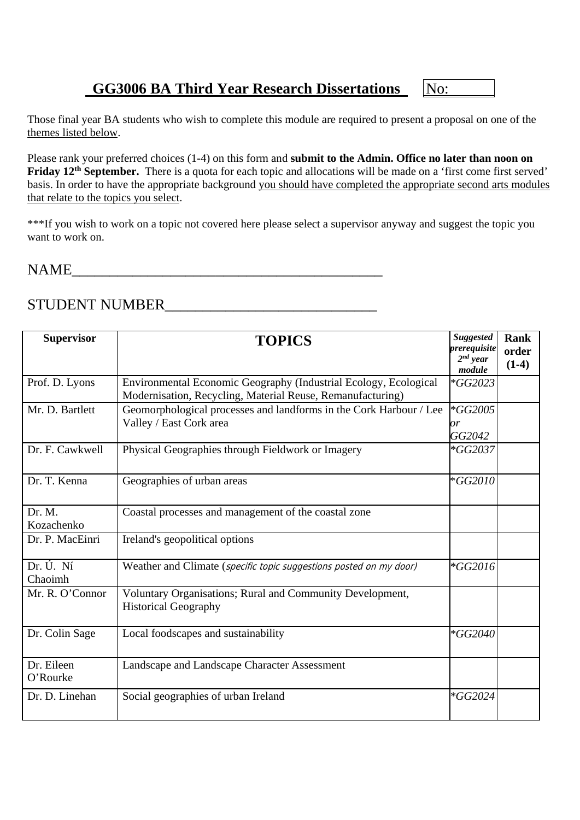# **GG3006 BA Third Year Research Dissertations** No:

Those final year BA students who wish to complete this module are required to present a proposal on one of the themes listed below.

Please rank your preferred choices (1-4) on this form and **submit to the Admin. Office no later than noon on Friday 12<sup>th</sup> September.** There is a quota for each topic and allocations will be made on a 'first come first served' basis. In order to have the appropriate background you should have completed the appropriate second arts modules that relate to the topics you select.

\*\*\*If you wish to work on a topic not covered here please select a supervisor anyway and suggest the topic you want to work on.

### NAME\_\_\_\_\_\_\_\_\_\_\_\_\_\_\_\_\_\_\_\_\_\_\_\_\_\_\_\_\_\_\_\_\_\_\_\_\_\_\_\_\_

## STUDENT NUMBER\_\_\_\_\_\_\_\_\_\_\_\_\_\_\_\_\_\_\_\_\_\_\_\_\_\_\_\_

| <b>Supervisor</b>      | <b>TOPICS</b>                                                                                                                  | <b>Suggested</b><br>prerequisite<br>$2^{nd}$ year<br>module | Rank<br>order<br>$(1-4)$ |
|------------------------|--------------------------------------------------------------------------------------------------------------------------------|-------------------------------------------------------------|--------------------------|
| Prof. D. Lyons         | Environmental Economic Geography (Industrial Ecology, Ecological<br>Modernisation, Recycling, Material Reuse, Remanufacturing) | $*GG2023$                                                   |                          |
| Mr. D. Bartlett        | Geomorphological processes and landforms in the Cork Harbour / Lee<br>Valley / East Cork area                                  | *GG2005<br>or<br>GG2042                                     |                          |
| Dr. F. Cawkwell        | Physical Geographies through Fieldwork or Imagery                                                                              | *GG2037                                                     |                          |
| Dr. T. Kenna           | Geographies of urban areas                                                                                                     | $*GG2010$                                                   |                          |
| Dr. M.<br>Kozachenko   | Coastal processes and management of the coastal zone                                                                           |                                                             |                          |
| Dr. P. MacEinri        | Ireland's geopolitical options                                                                                                 |                                                             |                          |
| Dr. Ú. Ní<br>Chaoimh   | Weather and Climate (specific topic suggestions posted on my door)                                                             | *GG2016                                                     |                          |
| Mr. R. O'Connor        | Voluntary Organisations; Rural and Community Development,<br><b>Historical Geography</b>                                       |                                                             |                          |
| Dr. Colin Sage         | Local foodscapes and sustainability                                                                                            | *GG2040                                                     |                          |
| Dr. Eileen<br>O'Rourke | Landscape and Landscape Character Assessment                                                                                   |                                                             |                          |
| Dr. D. Linehan         | Social geographies of urban Ireland                                                                                            | *GG2024                                                     |                          |